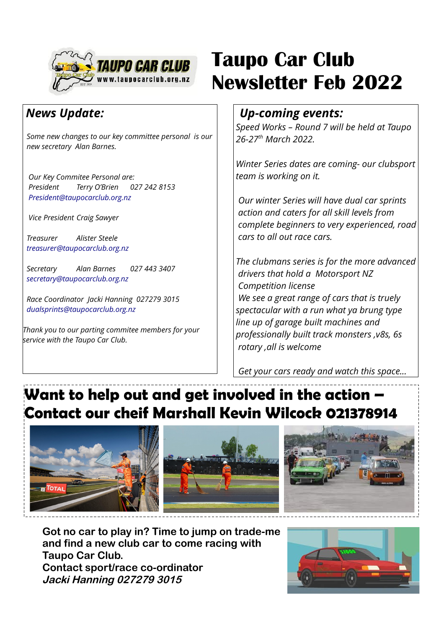

#### *News Update:*

 *Some new changes to our key committee personal is our new secretary Alan Barnes.* 

 *Our Key Commitee Personal are: President Terry O'Brien 027 242 8153 [President@taupocarclub.org.nz](mailto:President@taupocarclub.org.nz)*

 *Vice President Craig Sawyer*

 *Treasurer Alister Steele [treasurer@taupocarclub.org.nz](mailto:treasurer@taupocarclub.org.nz)*

 *Secretary Alan Barnes 027 443 3407 [secretary@taupocarclub.org.nz](mailto:secretary@taupocarclub.org.nz)*

 *Race Coordinator Jacki Hanning 027279 3015 [dualsprints@taupocarclub.org.nz](mailto:dualsprints@taupocarclub.org.nz)*

*Thank you to our parting commitee members for your service with the Taupo Car Club.*

## **Taupo Car Club Newsletter Feb 2022**

#### *Up-coming events:*

*Speed Works – Round 7 will be held at Taupo 26-27th March 2022.*

*Winter Series dates are coming- our clubsport team is working on it.*

 *Our winter Series will have dual car sprints action and caters for all skill levels from complete beginners to very experienced, road cars to all out race cars.*

*The clubmans series is for the more advanced drivers that hold a Motorsport NZ Competition license We see a great range of cars that is truely spectacular with a run what ya brung type line up of garage built machines and professionally built track monsters ,v8s, 6s rotary ,all is welcome*

 *Get your cars ready and watch this space...*

## **Want to help out and get involved in the action – Contact our cheif Marshall Kevin Wilcock 021378914**



**Got no car to play in? Time to jump on trade-me and find a new club car to come racing with Taupo Car Club. Contact sport/race co-ordinator Jacki Hanning 027279 3015**